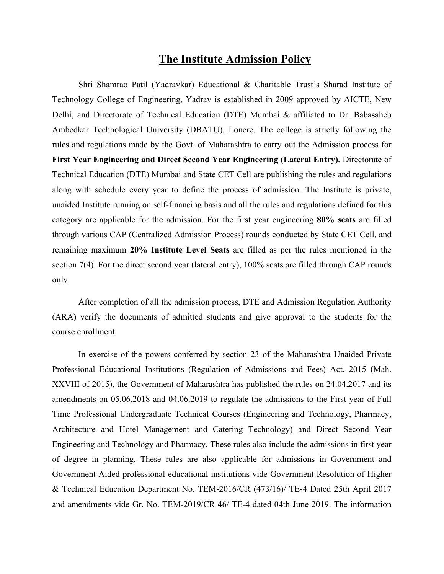# **The Institute Admission Policy**

Shri Shamrao Patil (Yadravkar) Educational & Charitable Trust's Sharad Institute of Technology College of Engineering, Yadrav is established in 2009 approved by AICTE, New Delhi, and Directorate of Technical Education (DTE) Mumbai & affiliated to Dr. Babasaheb Ambedkar Technological University (DBATU), Lonere. The college is strictly following the rules and regulations made by the Govt. of Maharashtra to carry out the Admission process for **First Year Engineering and Direct Second Year Engineering (Lateral Entry).** Directorate of Technical Education (DTE) Mumbai and State CET Cell are publishing the rules and regulations along with schedule every year to define the process of admission. The Institute is private, unaided Institute running on self-financing basis and all the rules and regulations defined for this category are applicable for the admission. For the first year engineering **80% seats** are filled through various CAP (Centralized Admission Process) rounds conducted by State CET Cell, and remaining maximum **20% Institute Level Seats** are filled as per the rules mentioned in the section 7(4). For the direct second year (lateral entry), 100% seats are filled through CAP rounds only.

After completion of all the admission process, DTE and Admission Regulation Authority (ARA) verify the documents of admitted students and give approval to the students for the course enrollment.

In exercise of the powers conferred by section 23 of the Maharashtra Unaided Private Professional Educational Institutions (Regulation of Admissions and Fees) Act, 2015 (Mah. XXVIII of 2015), the Government of Maharashtra has published the rules on 24.04.2017 and its amendments on 05.06.2018 and 04.06.2019 to regulate the admissions to the First year of Full Time Professional Undergraduate Technical Courses (Engineering and Technology, Pharmacy, Architecture and Hotel Management and Catering Technology) and Direct Second Year Engineering and Technology and Pharmacy. These rules also include the admissions in first year of degree in planning. These rules are also applicable for admissions in Government and Government Aided professional educational institutions vide Government Resolution of Higher & Technical Education Department No. TEM-2016/CR (473/16)/ TE-4 Dated 25th April 2017 and amendments vide Gr. No. TEM-2019/CR 46/ TE-4 dated 04th June 2019. The information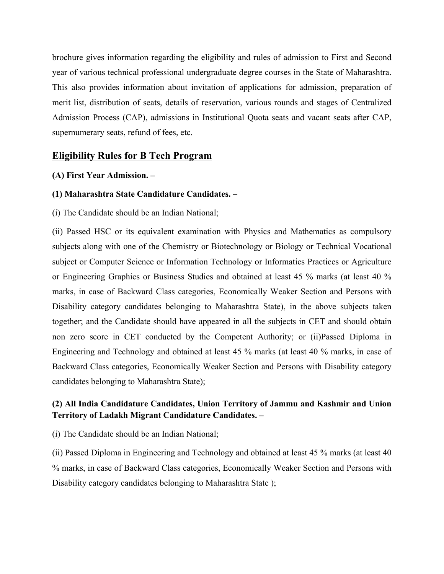brochure gives information regarding the eligibility and rules of admission to First and Second year of various technical professional undergraduate degree courses in the State of Maharashtra. This also provides information about invitation of applications for admission, preparation of merit list, distribution of seats, details of reservation, various rounds and stages of Centralized Admission Process (CAP), admissions in Institutional Quota seats and vacant seats after CAP, supernumerary seats, refund of fees, etc.

### **Eligibility Rules for B Tech Program**

### **(A) First Year Admission. –**

### **(1) Maharashtra State Candidature Candidates. –**

(i) The Candidate should be an Indian National;

(ii) Passed HSC or its equivalent examination with Physics and Mathematics as compulsory subjects along with one of the Chemistry or Biotechnology or Biology or Technical Vocational subject or Computer Science or Information Technology or Informatics Practices or Agriculture or Engineering Graphics or Business Studies and obtained at least 45 % marks (at least 40 % marks, in case of Backward Class categories, Economically Weaker Section and Persons with Disability category candidates belonging to Maharashtra State), in the above subjects taken together; and the Candidate should have appeared in all the subjects in CET and should obtain non zero score in CET conducted by the Competent Authority; or (ii)Passed Diploma in Engineering and Technology and obtained at least 45 % marks (at least 40 % marks, in case of Backward Class categories, Economically Weaker Section and Persons with Disability category candidates belonging to Maharashtra State);

### **(2) All India Candidature Candidates, Union Territory of Jammu and Kashmir and Union Territory of Ladakh Migrant Candidature Candidates. –**

(i) The Candidate should be an Indian National;

(ii) Passed Diploma in Engineering and Technology and obtained at least 45 % marks (at least 40 % marks, in case of Backward Class categories, Economically Weaker Section and Persons with Disability category candidates belonging to Maharashtra State );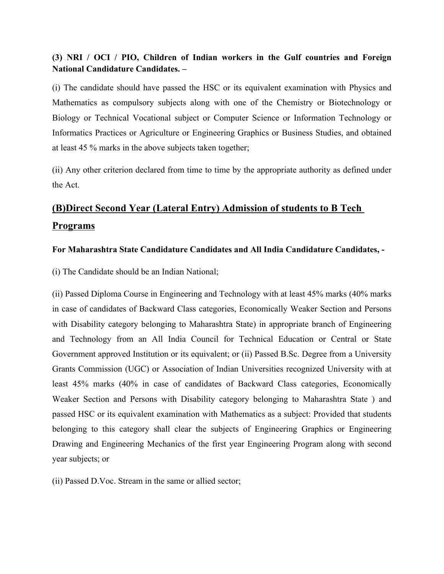## **(3) NRI / OCI / PIO, Children of Indian workers in the Gulf countries and Foreign National Candidature Candidates. –**

(i) The candidate should have passed the HSC or its equivalent examination with Physics and Mathematics as compulsory subjects along with one of the Chemistry or Biotechnology or Biology or Technical Vocational subject or Computer Science or Information Technology or Informatics Practices or Agriculture or Engineering Graphics or Business Studies, and obtained at least 45 % marks in the above subjects taken together;

(ii) Any other criterion declared from time to time by the appropriate authority as defined under the Act.

# **(B)Direct Second Year (Lateral Entry) Admission of students to B Tech Programs**

### **For Maharashtra State Candidature Candidates and All India Candidature Candidates, -**

(i) The Candidate should be an Indian National;

(ii) Passed Diploma Course in Engineering and Technology with at least 45% marks (40% marks in case of candidates of Backward Class categories, Economically Weaker Section and Persons with Disability category belonging to Maharashtra State) in appropriate branch of Engineering and Technology from an All India Council for Technical Education or Central or State Government approved Institution or its equivalent; or (ii) Passed B.Sc. Degree from a University Grants Commission (UGC) or Association of Indian Universities recognized University with at least 45% marks (40% in case of candidates of Backward Class categories, Economically Weaker Section and Persons with Disability category belonging to Maharashtra State ) and passed HSC or its equivalent examination with Mathematics as a subject: Provided that students belonging to this category shall clear the subjects of Engineering Graphics or Engineering Drawing and Engineering Mechanics of the first year Engineering Program along with second year subjects; or

(ii) Passed D.Voc. Stream in the same or allied sector;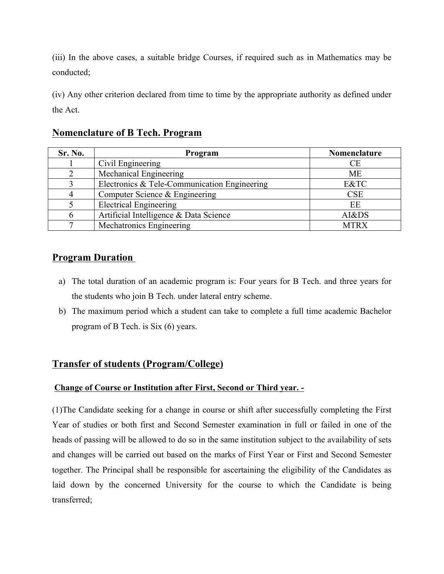(iii) In the above cases, a suitable bridge Courses, if required such as in Mathematics may be conducted;

(iv) Any other criterion declared from time to time by the appropriate authority as defined under the Act.

## **Nomenclature of B Tech. Program**

| Sr. No. | Program                                      | Nomenclature |
|---------|----------------------------------------------|--------------|
|         | Civil Engineering                            | <b>CE</b>    |
|         | Mechanical Engineering                       | ME           |
|         | Electronics & Tele-Communication Engineering | E&TC         |
|         | Computer Science & Engineering               | <b>CSE</b>   |
|         | <b>Electrical Engineering</b>                | EE           |
|         | Artificial Intelligence & Data Science       | AI&DS        |
|         | Mechatronics Engineering                     | <b>MTRX</b>  |

# **Program Duration**

- a) The total duration of an academic program is: Four years for B Tech. and three years for the students who join B Tech. under lateral entry scheme.
- b) The maximum period which a student can take to complete a full time academic Bachelor program of B Tech. is Six (6) years.

# **Transfer of students (Program/College)**

### **Change of Course or Institution after First, Second or Third year. -**

(1)The Candidate seeking for a change in course or shift after successfully completing the First Year of studies or both first and Second Semester examination in full or failed in one of the heads of passing will be allowed to do so in the same institution subject to the availability of sets and changes will be carried out based on the marks of First Year or First and Second Semester together. The Principal shall be responsible for ascertaining the eligibility of the Candidates as laid down by the concerned University for the course to which the Candidate is being transferred;